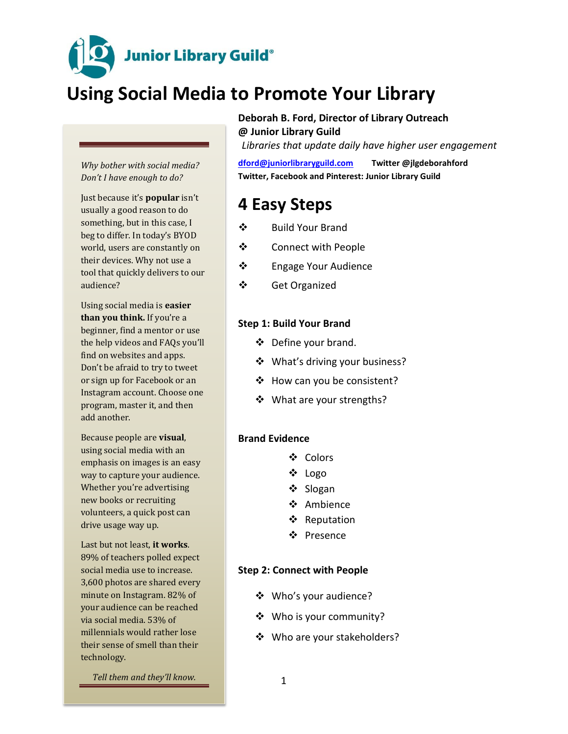**Junior Library Guild**®

# **Using Social Media to Promote Your Library**

*Why bother with social media? Don't I have enough to do?* 

Just because it's **popular** isn't usually a good reason to do something, but in this case, I beg to differ. In today's BYOD world, users are constantly on their devices. Why not use a tool that quickly delivers to our audience?

Using social media is **easier than you think.** If you're a beginner, find a mentor or use the help videos and FAQs you'll find on websites and apps. Don't be afraid to try to tweet or sign up for Facebook or an Instagram account. Choose one program, master it, and then add another.

Because people are **visual**, using social media with an emphasis on images is an easy way to capture your audience. Whether you're advertising new books or recruiting volunteers, a quick post can drive usage way up.

Last but not least, **it works**. 89% of teachers polled expect social media use to increase. 3,600 photos are shared every minute on Instagram. 82% of your audience can be reached via social media. 53% of millennials would rather lose their sense of smell than their technology.

*Tell them and they'll know.*

## **Deborah B. Ford, Director of Library Outreach**

**@ Junior Library Guild** *Libraries that update daily have higher user engagement*

**[dford@juniorlibraryguild.com](mailto:dford@juniorlibraryguild.com) Twitter @jlgdeborahford Twitter, Facebook and Pinterest: Junior Library Guild**

# **4 Easy Steps**

- ❖ Build Your Brand
- Connect with People
- Engage Your Audience
- Get Organized

## **Step 1: Build Your Brand**

- ❖ Define your brand.
- ❖ What's driving your business?
- ❖ How can you be consistent?
- ❖ What are your strengths?

### **Brand Evidence**

- ❖ Colors
- ❖ Logo
- ❖ Slogan
- ❖ Ambience
- ❖ Reputation
- Presence

## **Step 2: Connect with People**

- Who's your audience?
- Who is your community?
- ❖ Who are your stakeholders?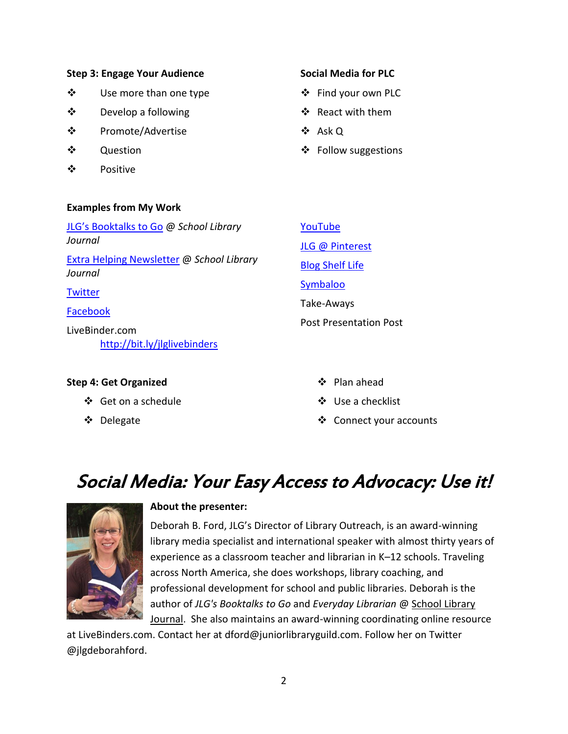## **Step 3: Engage Your Audience**

- **❖** Use more than one type
- Develop a following
- **❖** Promote/Advertise
- $\mathbf{\hat{z}}$  Ouestion
- ❖ Positive

## **Examples from My Work**

#### [JLG's Booktalks to Go](http://www.slj.com/category/collection-development/jlg-booktalks/) @ *School Library Journal* [Extra Helping Newsletter](http://www.slj.com/tag/extra-helping/) @ *School Library Journal* **[Twitter](https://twitter.com/jlgdeborahford)** [Facebook](https://www.facebook.com/Junior-Library-Guild-329843906949/) LiveBinder.com <http://bit.ly/jlglivebinders> [YouTube](https://www.youtube.com/channel/UCNeEQb2Vlvs7Jh1lUdQagbQ) [JLG @ Pinterest](https://www.pinterest.com/juniorlibraryg/) [Blog Shelf Life](http://juniorlibraryguild.com/news/category.dT/shelf-life) **[Symbaloo](http://www.symbaloo.com/profile/jlgdeborahford)** Take-Aways Post Presentation Post

## **Step 4: Get Organized**

- Get on a schedule
- Delegate
- Plan ahead
- ❖ Use a checklist
- ❖ Connect your accounts

# Social Media: Your Easy Access to Advocacy: Use it!



## **About the presenter:**

Deborah B. Ford, JLG's Director of Library Outreach, is an award-winning library media specialist and international speaker with almost thirty years of experience as a classroom teacher and librarian in K–12 schools. Traveling across North America, she does workshops, library coaching, and professional development for school and public libraries. Deborah is the author of *JLG's Booktalks to Go* and *Everyday Librarian* @ School Library Journal. She also maintains an award-winning coordinating online resource

at LiveBinders.com. Contact her at dford@juniorlibraryguild.com. Follow her on Twitter @jlgdeborahford.

## **Social Media for PLC**

- ❖ Find your own PLC
- ❖ React with them
- Ask Q
- ❖ Follow suggestions